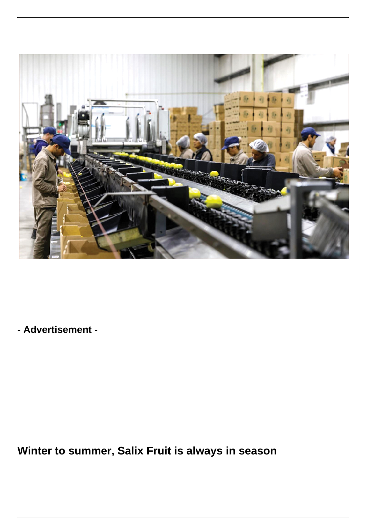

**- Advertisement -**

**Winter to summer, Salix Fruit is always in season**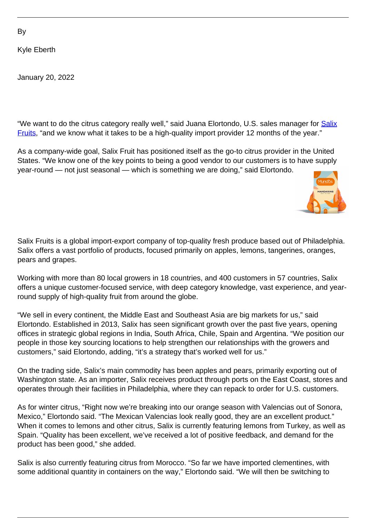By

Kyle Eberth

January 20, 2022

"We want to do the citrus category really well," said Juana Elortondo, U.S. sales manager for **[Salix](https://salixfruits.com/)** [Fruits](https://salixfruits.com/), "and we know what it takes to be a high-quality import provider 12 months of the year."

As a company-wide goal, Salix Fruit has positioned itself as the go-to citrus provider in the United States. "We know one of the key points to being a good vendor to our customers is to have supply year-round — not just seasonal — which is something we are doing," said Elortondo.



Salix Fruits is a global import-export company of top-quality fresh produce based out of Philadelphia. Salix offers a vast portfolio of products, focused primarily on apples, lemons, tangerines, oranges, pears and grapes.

Working with more than 80 local growers in 18 countries, and 400 customers in 57 countries, Salix offers a unique customer-focused service, with deep category knowledge, vast experience, and yearround supply of high-quality fruit from around the globe.

"We sell in every continent, the Middle East and Southeast Asia are big markets for us," said Elortondo. Established in 2013, Salix has seen significant growth over the past five years, opening offices in strategic global regions in India, South Africa, Chile, Spain and Argentina. "We position our people in those key sourcing locations to help strengthen our relationships with the growers and customers," said Elortondo, adding, "it's a strategy that's worked well for us."

On the trading side, Salix's main commodity has been apples and pears, primarily exporting out of Washington state. As an importer, Salix receives product through ports on the East Coast, stores and operates through their facilities in Philadelphia, where they can repack to order for U.S. customers.

As for winter citrus, "Right now we're breaking into our orange season with Valencias out of Sonora, Mexico," Elortondo said. "The Mexican Valencias look really good, they are an excellent product." When it comes to lemons and other citrus, Salix is currently featuring lemons from Turkey, as well as Spain. "Quality has been excellent, we've received a lot of positive feedback, and demand for the product has been good," she added.

Salix is also currently featuring citrus from Morocco. "So far we have imported clementines, with some additional quantity in containers on the way," Elortondo said. "We will then be switching to